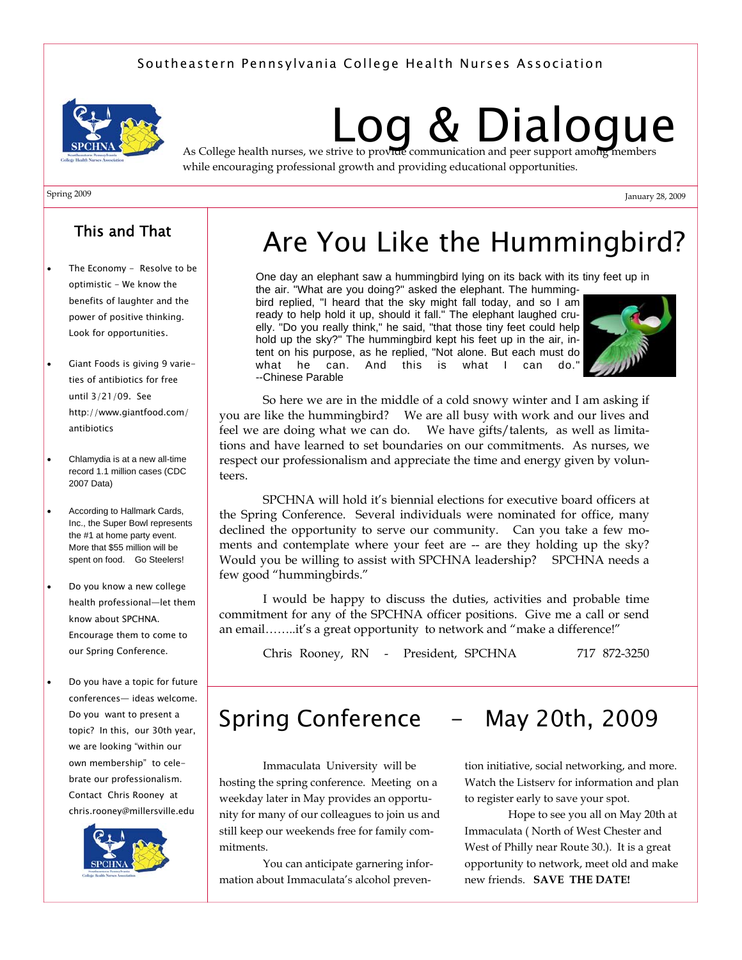## Southeastern Pennsylvania College Health Nurses Association



# **& Dialogue** As College health nurses, we strive to provide communication and peer support among members

while encouraging professional growth and providing educational opportunities.

#### Spring 2009

# This and That

- The Economy Resolve to be optimistic - We know the benefits of laughter and the power of positive thinking. Look for opportunities.
- Giant Foods is giving 9 varieties of antibiotics for free until 3/21/09. See http://www.giantfood.com/ antibiotics
- Chlamydia is at a new all-time record 1.1 million cases (CDC 2007 Data)
- According to Hallmark Cards, Inc., the Super Bowl represents the #1 at home party event. More that \$55 million will be spent on food. Go Steelers!
- Do you know a new college health professional—let them know about SPCHNA. Encourage them to come to our Spring Conference.
- Do you have a topic for future conferences— ideas welcome. Do you want to present a topic? In this, our 30th year, we are looking "within our own membership" to celebrate our professionalism. Contact Chris Rooney at chris.rooney@millersville.edu



# Are You Like the Hummingbird?

One day an elephant saw a hummingbird lying on its back with its tiny feet up in the air. "What are you doing?" asked the elephant. The humming-

bird replied, "I heard that the sky might fall today, and so I am ready to help hold it up, should it fall." The elephant laughed cruelly. "Do you really think," he said, "that those tiny feet could help hold up the sky?" The hummingbird kept his feet up in the air, intent on his purpose, as he replied, "Not alone. But each must do what he can. And this is what I can do." --Chinese Parable



January 28, 2009

So here we are in the middle of a cold snowy winter and I am asking if you are like the hummingbird? We are all busy with work and our lives and feel we are doing what we can do. We have gifts/talents, as well as limitations and have learned to set boundaries on our commitments. As nurses, we respect our professionalism and appreciate the time and energy given by volunteers.

 SPCHNA will hold it's biennial elections for executive board officers at the Spring Conference. Several individuals were nominated for office, many declined the opportunity to serve our community. Can you take a few moments and contemplate where your feet are -- are they holding up the sky? Would you be willing to assist with SPCHNA leadership? SPCHNA needs a few good "hummingbirds."

 I would be happy to discuss the duties, activities and probable time commitment for any of the SPCHNA officer positions. Give me a call or send an email……..it's a great opportunity to network and "make a difference!"

Chris Rooney, RN - President, SPCHNA 717 872-3250

# Spring Conference - May 20th, 2009

 Immaculata University will be hosting the spring conference. Meeting on a weekday later in May provides an opportunity for many of our colleagues to join us and still keep our weekends free for family commitments.

 You can anticipate garnering information about Immaculata's alcohol preven-

tion initiative, social networking, and more. Watch the Listserv for information and plan to register early to save your spot.

 Hope to see you all on May 20th at Immaculata ( North of West Chester and West of Philly near Route 30.). It is a great opportunity to network, meet old and make new friends. **SAVE THE DATE!**